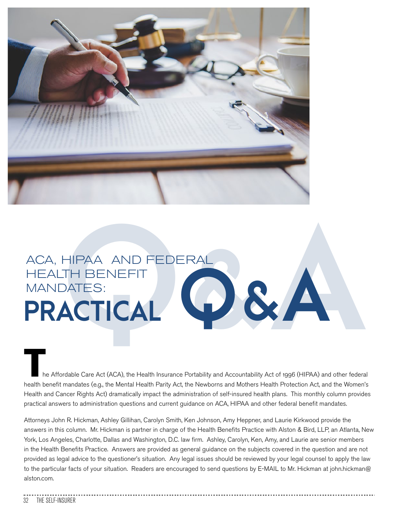

# ACA, HIPAA AND FEDERAL<br>HEALTH BENEFIT<br>**PRACTICAL** HEALTH BENEFIT MANDATES: ACA, HIPAA AND FEDERAL<br>HEALTH BENEFIT<br>**PRACTICAL**

he Affordable Care Act (ACA), the Health Insurance Portability and Accountability Act of 1996 (HIPAA) and other federal health benefit mandates (e.g., the Mental Health Parity Act, the Newborns and Mothers Health Protection Act, and the Women's Health and Cancer Rights Act) dramatically impact the administration of self-insured health plans. This monthly column provides practical answers to administration questions and current guidance on ACA, HIPAA and other federal benefit mandates.

Attorneys John R. Hickman, Ashley Gillihan, Carolyn Smith, Ken Johnson, Amy Heppner, and Laurie Kirkwood provide the answers in this column. Mr. Hickman is partner in charge of the Health Benefits Practice with Alston & Bird, LLP, an Atlanta, New York, Los Angeles, Charlotte, Dallas and Washington, D.C. law firm. Ashley, Carolyn, Ken, Amy, and Laurie are senior members in the Health Benefits Practice. Answers are provided as general guidance on the subjects covered in the question and are not provided as legal advice to the questioner's situation. Any legal issues should be reviewed by your legal counsel to apply the law to the particular facts of your situation. Readers are encouraged to send questions by E-MAIL to Mr. Hickman at john.hickman@ alston.com.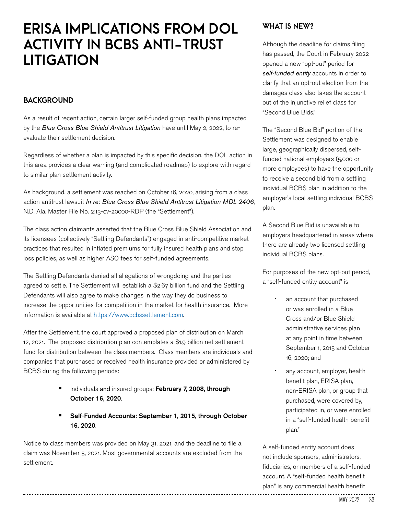## **ERISA IMPLICATIONS FROM DOL ACTIVITY IN BCBS ANTI-TRUST LITIGATION**

#### **BACKGROUND**

As a result of recent action, certain larger self-funded group health plans impacted by the *Blue Cross Blue Shield Antitrust Litigation* have until May 2, 2022, to reevaluate their settlement decision.

Regardless of whether a plan is impacted by this specific decision, the DOL action in this area provides a clear warning (and complicated roadmap) to explore with regard to similar plan settlement activity.

As background, a settlement was reached on October 16, 2020, arising from a class action antitrust lawsuit *In re: Blue Cross Blue Shield Antitrust Litigation MDL 2406*, N.D. Ala. Master File No. 2:13-cv-20000-RDP (the "Settlement").

The class action claimants asserted that the Blue Cross Blue Shield Association and its licensees (collectively "Settling Defendants") engaged in anti-competitive market practices that resulted in inflated premiums for fully insured health plans and stop loss policies, as well as higher ASO fees for self-funded agreements.

The Settling Defendants denied all allegations of wrongdoing and the parties agreed to settle. The Settlement will establish a \$2.67 billion fund and the Settling Defendants will also agree to make changes in the way they do business to increase the opportunities for competition in the market for health insurance. More information is available at https://www.bcbssettlement.com.

After the Settlement, the court approved a proposed plan of distribution on March 12, 2021. The proposed distribution plan contemplates a \$1.9 billion net settlement fund for distribution between the class members. Class members are individuals and companies that purchased or received health insurance provided or administered by BCBS during the following periods:

- Individuals and insured groups: February 7, 2008, through October 16, 2020.
- Self-Funded Accounts: September 1, 2015, through October 16, 2020.

Notice to class members was provided on May 31, 2021, and the deadline to file a claim was November 5, 2021. Most governmental accounts are excluded from the settlement.

#### **WHAT IS NEW?**

Although the deadline for claims filing has passed, the Court in February 2022 opened a new "opt-out" period for *self-funded entity* accounts in order to clarify that an opt-out election from the damages class also takes the account out of the injunctive relief class for "Second Blue Bids."

The "Second Blue Bid" portion of the Settlement was designed to enable large, geographically dispersed, selffunded national employers (5,000 or more employees) to have the opportunity to receive a second bid from a settling individual BCBS plan in addition to the employer's local settling individual BCBS plan.

A Second Blue Bid is unavailable to employers headquartered in areas where there are already two licensed settling individual BCBS plans.

For purposes of the new opt-out period, a "self-funded entity account" is

- an account that purchased or was enrolled in a Blue Cross and/or Blue Shield administrative services plan at any point in time between September 1, 2015 and October 16, 2020; and
- any account, employer, health benefit plan, ERISA plan, non-ERISA plan, or group that purchased, were covered by, participated in, or were enrolled in a "self-funded health benefit plan."

A self-funded entity account does not include sponsors, administrators, fiduciaries, or members of a self-funded account. A "self-funded health benefit plan" is any commercial health benefit

---------------------------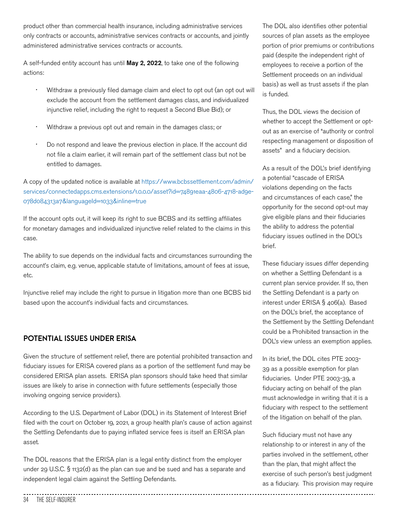product other than commercial health insurance, including administrative services only contracts or accounts, administrative services contracts or accounts, and jointly administered administrative services contracts or accounts.

A self-funded entity account has until May 2, 2022, to take one of the following actions:

- Withdraw a previously filed damage claim and elect to opt out (an opt out will exclude the account from the settlement damages class, and individualized injunctive relief, including the right to request a Second Blue Bid); or
- Withdraw a previous opt out and remain in the damages class; or
- Do not respond and leave the previous election in place. If the account did not file a claim earlier, it will remain part of the settlement class but not be entitled to damages.

A copy of the updated notice is available at https://www.bcbssettlement.com/admin/ services/connectedapps.cms.extensions/1.0.0.0/asset?id=74891eaa-4806-4718-ad9e-078d084313a7&languageId=1033&inline=true

If the account opts out, it will keep its right to sue BCBS and its settling affiliates for monetary damages and individualized injunctive relief related to the claims in this case.

The ability to sue depends on the individual facts and circumstances surrounding the account's claim, e.g. venue, applicable statute of limitations, amount of fees at issue, etc.

Injunctive relief may include the right to pursue in litigation more than one BCBS bid based upon the account's individual facts and circumstances.

### **POTENTIAL ISSUES UNDER ERISA**

Given the structure of settlement relief, there are potential prohibited transaction and fiduciary issues for ERISA covered plans as a portion of the settlement fund may be considered ERISA plan assets. ERISA plan sponsors should take heed that similar issues are likely to arise in connection with future settlements (especially those involving ongoing service providers).

According to the U.S. Department of Labor (DOL) in its Statement of Interest Brief filed with the court on October 19, 2021, a group health plan's cause of action against the Settling Defendants due to paying inflated service fees is itself an ERISA plan asset.

The DOL reasons that the ERISA plan is a legal entity distinct from the employer under 29 U.S.C. § 1132(d) as the plan can sue and be sued and has a separate and independent legal claim against the Settling Defendants.

The DOL also identifies other potential sources of plan assets as the employee portion of prior premiums or contributions paid (despite the independent right of employees to receive a portion of the Settlement proceeds on an individual basis) as well as trust assets if the plan is funded.

Thus, the DOL views the decision of whether to accept the Settlement or optout as an exercise of "authority or control respecting management or disposition of assets" and a fiduciary decision.

As a result of the DOL's brief identifying a potential "cascade of ERISA violations depending on the facts and circumstances of each case," the opportunity for the second opt-out may give eligible plans and their fiduciaries the ability to address the potential fiduciary issues outlined in the DOL's brief.

These fiduciary issues differ depending on whether a Settling Defendant is a current plan service provider. If so, then the Settling Defendant is a party on interest under ERISA § 406(a). Based on the DOL's brief, the acceptance of the Settlement by the Settling Defendant could be a Prohibited transaction in the DOL's view unless an exemption applies.

In its brief, the DOL cites PTE 2003- 39 as a possible exemption for plan fiduciaries. Under PTE 2003-39, a fiduciary acting on behalf of the plan must acknowledge in writing that it is a fiduciary with respect to the settlement of the litigation on behalf of the plan.

Such fiduciary must not have any relationship to or interest in any of the parties involved in the settlement, other than the plan, that might affect the exercise of such person's best judgment as a fiduciary. This provision may require